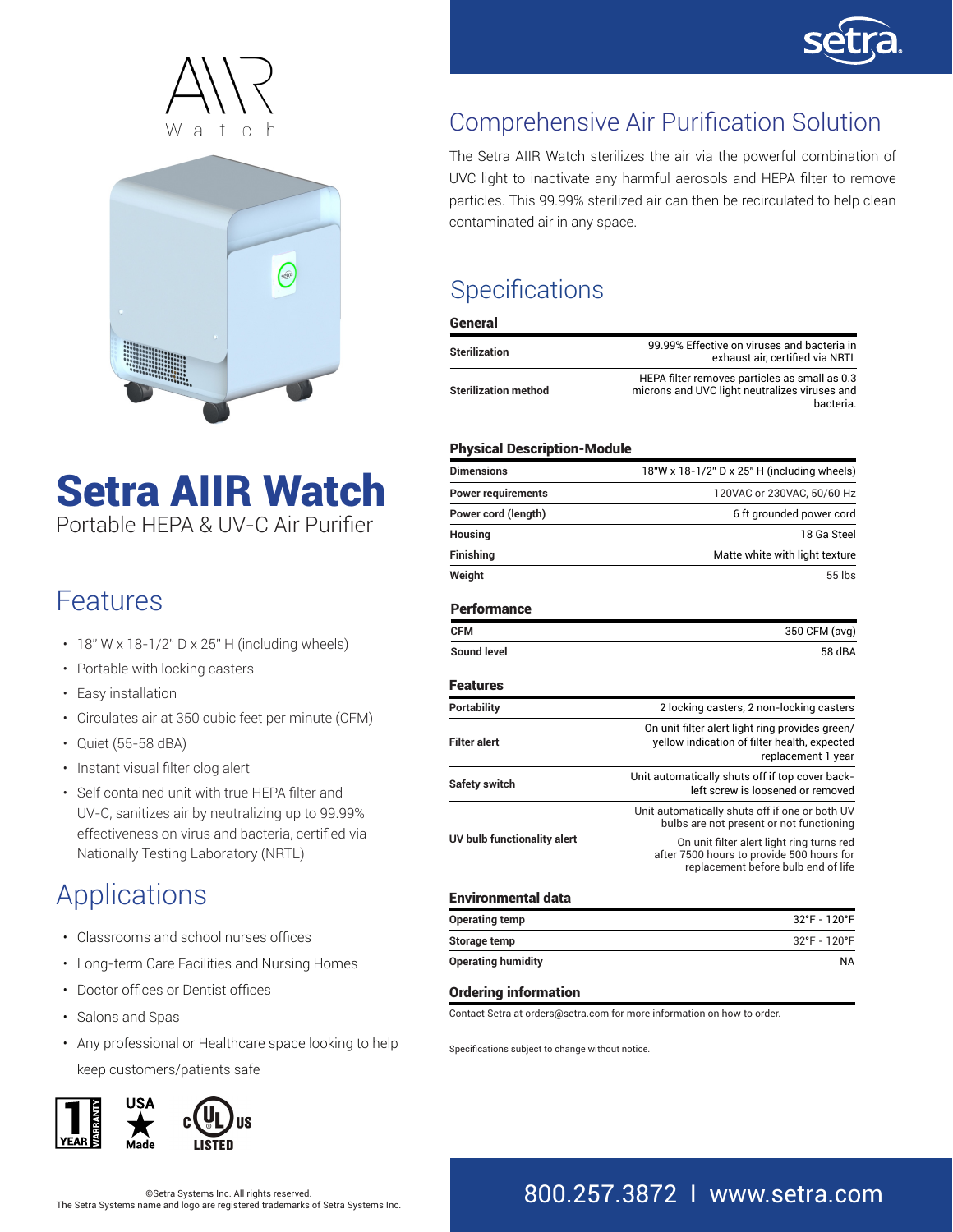



# Setra AIIR Watch Portable HEPA & UV-C Air Purifier

### Features

- $\cdot$  18" W x 18-1/2" D x 25" H (including wheels)
- Portable with locking casters
- Easy installation
- Circulates air at 350 cubic feet per minute (CFM)
- Quiet (55-58 dBA)
- Instant visual filter clog alert
- Self contained unit with true HEPA filter and UV-C, sanitizes air by neutralizing up to 99.99% effectiveness on virus and bacteria, certified via Nationally Testing Laboratory (NRTL)

# Applications

- Classrooms and school nurses offices
- Long-term Care Facilities and Nursing Homes
- Doctor offices or Dentist offices
- Salons and Spas
- Any professional or Healthcare space looking to help keep customers/patients safe





# Comprehensive Air Purification Solution

The Setra AIIR Watch sterilizes the air via the powerful combination of UVC light to inactivate any harmful aerosols and HEPA filter to remove particles. This 99.99% sterilized air can then be recirculated to help clean contaminated air in any space.

# **Specifications**

| General              |                                                                                                             |
|----------------------|-------------------------------------------------------------------------------------------------------------|
| Sterilization        | 99.99% Effective on viruses and bacteria in<br>exhaust air, certified via NRTL                              |
| Sterilization method | HEPA filter removes particles as small as 0.3<br>microns and UVC light neutralizes viruses and<br>bacteria. |

#### Physical Description-Module

| <b>Dimensions</b>         | 18"W x 18-1/2" D x 25" H (including wheels) |
|---------------------------|---------------------------------------------|
| <b>Power requirements</b> | 120VAC or 230VAC, 50/60 Hz                  |
| Power cord (length)       | 6 ft grounded power cord                    |
| <b>Housing</b>            | 18 Ga Steel                                 |
| <b>Finishing</b>          | Matte white with light texture              |
| Weight                    | 55 lbs                                      |

### **Performance**

| <b>CFM</b>  | 350 CFM (avg) |
|-------------|---------------|
| Sound level | 58 dBA        |

| <b>Features</b>             |                                                                                                                               |
|-----------------------------|-------------------------------------------------------------------------------------------------------------------------------|
| <b>Portability</b>          | 2 locking casters, 2 non-locking casters                                                                                      |
| <b>Filter alert</b>         | On unit filter alert light ring provides green/<br>yellow indication of filter health, expected<br>replacement 1 year         |
| <b>Safety switch</b>        | Unit automatically shuts off if top cover back-<br>left screw is loosened or removed                                          |
| UV bulb functionality alert | Unit automatically shuts off if one or both UV<br>bulbs are not present or not functioning                                    |
|                             | On unit filter alert light ring turns red<br>after 7500 hours to provide 500 hours for<br>replacement before bulb end of life |
| Environmental data          |                                                                                                                               |

#### Environmental data

| Operating temp            | 32°F - 120°F |
|---------------------------|--------------|
| Storage temp              | 32°F - 120°F |
| <b>Operating humidity</b> | <b>NA</b>    |

#### Ordering information

Contact Setra at orders@setra.com for more information on how to order.

Specifications subject to change without notice.

### ©Setra Systems Inc. All rights reserved. 800.257.3872 I www.setra.com